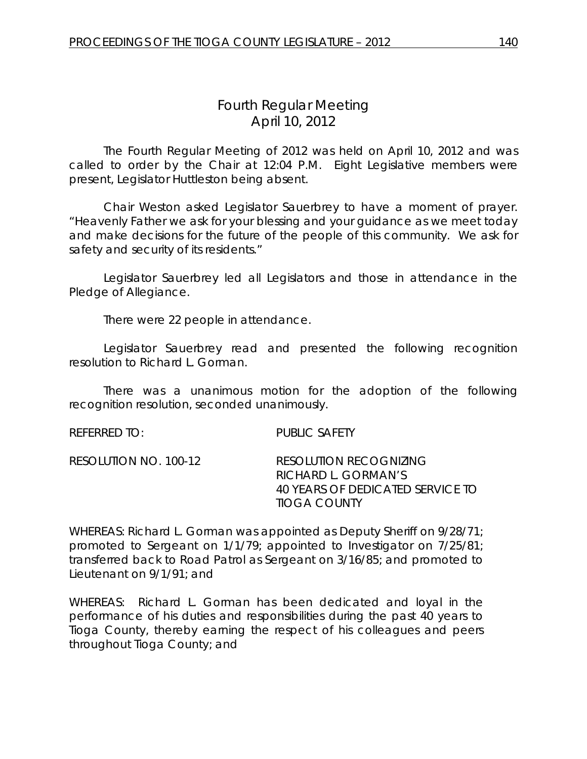# *Fourth Regular Meeting* April 10, 2012

The Fourth Regular Meeting of 2012 was held on April 10, 2012 and was called to order by the Chair at 12:04 P.M. Eight Legislative members were present, Legislator Huttleston being absent.

Chair Weston asked Legislator Sauerbrey to have a moment of prayer. "Heavenly Father we ask for your blessing and your guidance as we meet today and make decisions for the future of the people of this community. We ask for safety and security of its residents."

Legislator Sauerbrey led all Legislators and those in attendance in the Pledge of Allegiance.

There were 22 people in attendance.

Legislator Sauerbrey read and presented the following recognition resolution to Richard L. Gorman.

There was a unanimous motion for the adoption of the following recognition resolution, seconded unanimously.

| REFERRED TO:          | <b>PUBLIC SAFETY</b>                                                                              |
|-----------------------|---------------------------------------------------------------------------------------------------|
| RESOLUTION NO. 100-12 | RESOLUTION RECOGNIZING<br>RICHARD L. GORMAN'S<br>40 YEARS OF DEDICATED SERVICE TO<br>TIOGA COUNTY |

WHEREAS: Richard L. Gorman was appointed as Deputy Sheriff on 9/28/71; promoted to Sergeant on 1/1/79; appointed to Investigator on 7/25/81; transferred back to Road Patrol as Sergeant on 3/16/85; and promoted to Lieutenant on 9/1/91; and

WHEREAS: Richard L. Gorman has been dedicated and loyal in the performance of his duties and responsibilities during the past 40 years to Tioga County, thereby earning the respect of his colleagues and peers throughout Tioga County; and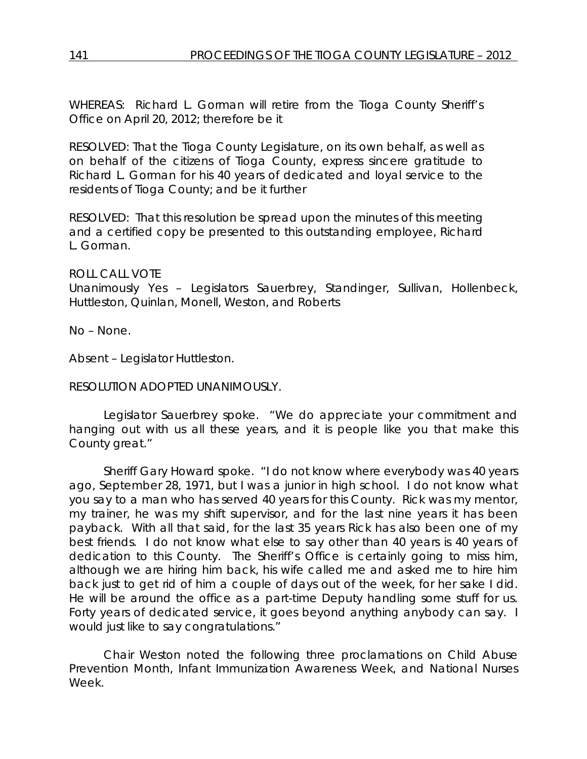WHEREAS: Richard L. Gorman will retire from the Tioga County Sheriff's Office on April 20, 2012; therefore be it

RESOLVED: That the Tioga County Legislature, on its own behalf, as well as on behalf of the citizens of Tioga County, express sincere gratitude to Richard L. Gorman for his 40 years of dedicated and loyal service to the residents of Tioga County; and be it further

RESOLVED: That this resolution be spread upon the minutes of this meeting and a certified copy be presented to this outstanding employee, Richard L. Gorman.

## ROLL CALL VOTE

Unanimously Yes – Legislators Sauerbrey, Standinger, Sullivan, Hollenbeck, Huttleston, Quinlan, Monell, Weston, and Roberts

No – None.

Absent – Legislator Huttleston.

### RESOLUTION ADOPTED UNANIMOUSLY.

Legislator Sauerbrey spoke. "We do appreciate your commitment and hanging out with us all these years, and it is people like you that make this County great."

Sheriff Gary Howard spoke. "I do not know where everybody was 40 years ago, September 28, 1971, but I was a junior in high school. I do not know what you say to a man who has served 40 years for this County. Rick was my mentor, my trainer, he was my shift supervisor, and for the last nine years it has been payback. With all that said, for the last 35 years Rick has also been one of my best friends. I do not know what else to say other than 40 years is 40 years of dedication to this County. The Sheriff's Office is certainly going to miss him, although we are hiring him back, his wife called me and asked me to hire him back just to get rid of him a couple of days out of the week, for her sake I did. He will be around the office as a part-time Deputy handling some stuff for us. Forty years of dedicated service, it goes beyond anything anybody can say. I would just like to say congratulations."

Chair Weston noted the following three proclamations on Child Abuse Prevention Month, Infant Immunization Awareness Week, and National Nurses Week.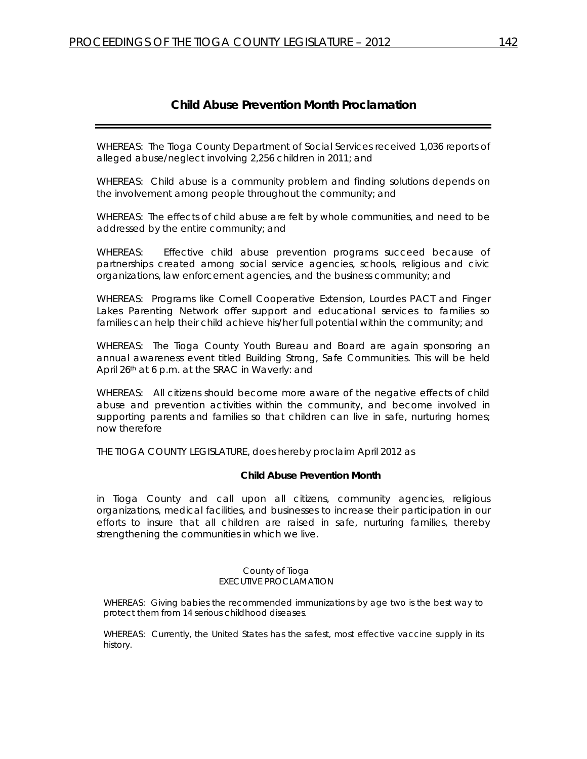### **Child Abuse Prevention Month Proclamation**

WHEREAS: The Tioga County Department of Social Services received 1,036 reports of alleged abuse/neglect involving 2,256 children in 2011; and

WHEREAS: Child abuse is a community problem and finding solutions depends on the involvement among people throughout the community; and

WHEREAS: The effects of child abuse are felt by whole communities, and need to be addressed by the entire community; and

WHEREAS: Effective child abuse prevention programs succeed because of partnerships created among social service agencies, schools, religious and civic organizations, law enforcement agencies, and the business community; and

WHEREAS: Programs like Cornell Cooperative Extension, Lourdes PACT and Finger Lakes Parenting Network offer support and educational services to families so families can help their child achieve his/her full potential within the community; and

WHEREAS: The Tioga County Youth Bureau and Board are again sponsoring an annual awareness event titled Building Strong, Safe Communities. This will be held April 26th at 6 p.m. at the SRAC in Waverly: and

WHEREAS: All citizens should become more aware of the negative effects of child abuse and prevention activities within the community, and become involved in supporting parents and families so that children can live in safe, nurturing homes; now therefore

THE TIOGA COUNTY LEGISLATURE, does hereby proclaim April 2012 as

#### **Child Abuse Prevention Month**

in Tioga County and call upon all citizens, community agencies, religious organizations, medical facilities, and businesses to increase their participation in our efforts to insure that all children are raised in safe, nurturing families, thereby strengthening the communities in which we live.

#### County of Tioga EXECUTIVE PROCLAMATION

WHEREAS: Giving babies the recommended immunizations by age two is the best way to protect them from 14 serious childhood diseases.

WHEREAS: Currently, the United States has the safest, most effective vaccine supply in its history.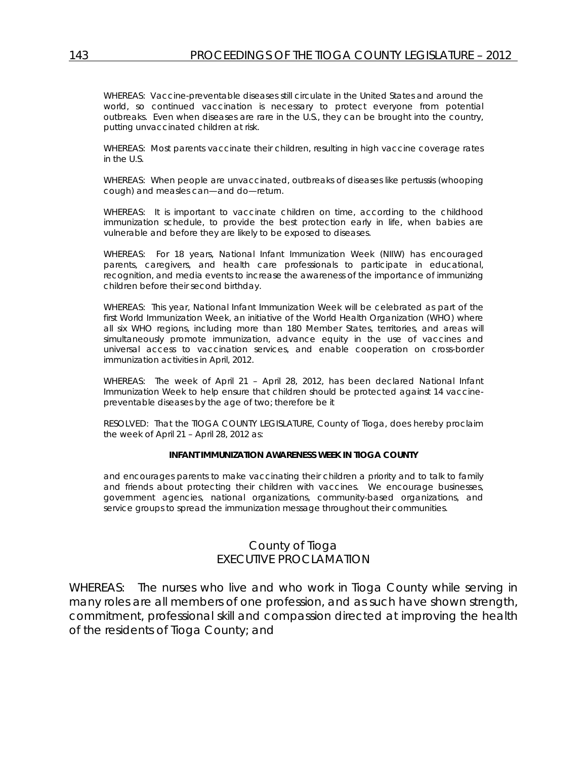WHEREAS: Vaccine-preventable diseases still circulate in the United States and around the world, so continued vaccination is necessary to protect everyone from potential outbreaks. Even when diseases are rare in the U.S., they can be brought into the country, putting unvaccinated children at risk.

WHEREAS: Most parents vaccinate their children, resulting in high vaccine coverage rates in the U.S.

WHEREAS: When people are unvaccinated, outbreaks of diseases like pertussis (whooping cough) and measles can—and do—return.

WHEREAS: It is important to vaccinate children on time, according to the childhood immunization schedule, to provide the best protection early in life, when babies are vulnerable and before they are likely to be exposed to diseases.

WHEREAS: For 18 years, National Infant Immunization Week (NIIW) has encouraged parents, caregivers, and health care professionals to participate in educational, recognition, and media events to increase the awareness of the importance of immunizing children before their second birthday.

WHEREAS: This year, National Infant Immunization Week will be celebrated as part of the first World Immunization Week, an initiative of the World Health Organization (WHO) where all six WHO regions, including more than 180 Member States, territories, and areas will simultaneously promote immunization, advance equity in the use of vaccines and universal access to vaccination services, and enable cooperation on cross-border immunization activities in April, 2012.

WHEREAS: The week of April 21 – April 28, 2012, has been declared National Infant Immunization Week to help ensure that children should be protected against 14 vaccinepreventable diseases by the age of two; therefore be it

RESOLVED: That the TIOGA COUNTY LEGISLATURE, County of Tioga, does hereby proclaim the week of April 21 – April 28, 2012 as:

#### **INFANT IMMUNIZATION AWARENESS WEEK IN TIOGA COUNTY**

and encourages parents to make vaccinating their children a priority and to talk to family and friends about protecting their children with vaccines. We encourage businesses, government agencies, national organizations, community-based organizations, and service groups to spread the immunization message throughout their communities.

### County of Tioga EXECUTIVE PROCLAMATION

WHEREAS: The nurses who live and who work in Tioga County while serving in many roles are all members of one profession, and as such have shown strength, commitment, professional skill and compassion directed at improving the health of the residents of Tioga County; and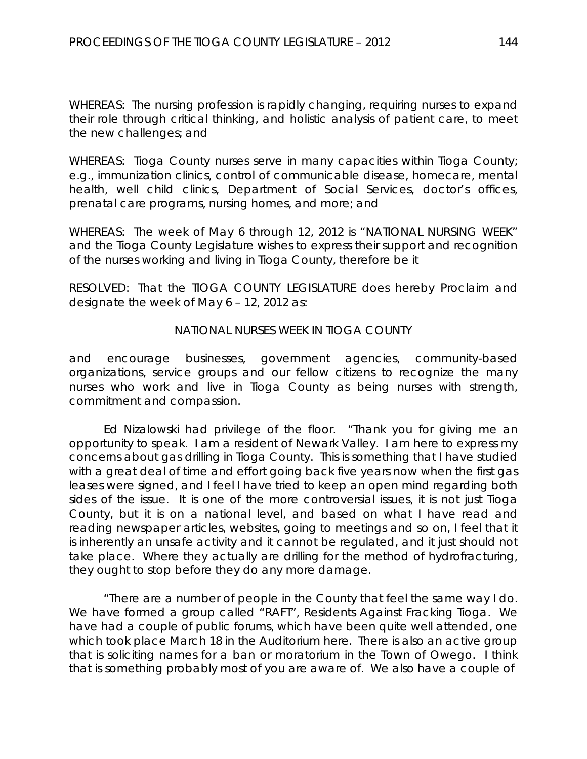WHEREAS: The nursing profession is rapidly changing, requiring nurses to expand their role through critical thinking, and holistic analysis of patient care, to meet the new challenges; and

WHEREAS: Tioga County nurses serve in many capacities within Tioga County; e.g., immunization clinics, control of communicable disease, homecare, mental health, well child clinics, Department of Social Services, doctor's offices, prenatal care programs, nursing homes, and more; and

WHEREAS: The week of May 6 through 12, 2012 is "NATIONAL NURSING WEEK" and the Tioga County Legislature wishes to express their support and recognition of the nurses working and living in Tioga County, therefore be it

RESOLVED: That the TIOGA COUNTY LEGISLATURE does hereby Proclaim and designate the week of May 6 – 12, 2012 as:

# NATIONAL NURSES WEEK IN TIOGA COUNTY

and encourage businesses, government agencies, community-based organizations, service groups and our fellow citizens to recognize the many nurses who work and live in Tioga County as being nurses with strength, commitment and compassion.

Ed Nizalowski had privilege of the floor. "Thank you for giving me an opportunity to speak. I am a resident of Newark Valley. I am here to express my concerns about gas drilling in Tioga County. This is something that I have studied with a great deal of time and effort going back five years now when the first gas leases were signed, and I feel I have tried to keep an open mind regarding both sides of the issue. It is one of the more controversial issues, it is not just Tioga County, but it is on a national level, and based on what I have read and reading newspaper articles, websites, going to meetings and so on, I feel that it is inherently an unsafe activity and it cannot be regulated, and it just should not take place. Where they actually are drilling for the method of hydrofracturing, they ought to stop before they do any more damage.

"There are a number of people in the County that feel the same way I do. We have formed a group called "RAFT", Residents Against Fracking Tioga. We have had a couple of public forums, which have been quite well attended, one which took place March 18 in the Auditorium here. There is also an active group that is soliciting names for a ban or moratorium in the Town of Owego. I think that is something probably most of you are aware of. We also have a couple of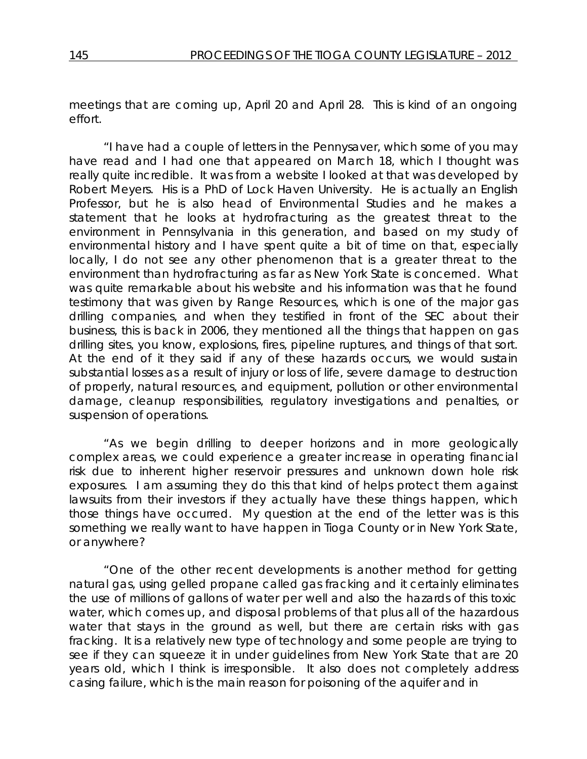meetings that are coming up, April 20 and April 28. This is kind of an ongoing effort.

"I have had a couple of letters in the Pennysaver, which some of you may have read and I had one that appeared on March 18, which I thought was really quite incredible. It was from a website I looked at that was developed by Robert Meyers. His is a PhD of Lock Haven University. He is actually an English Professor, but he is also head of Environmental Studies and he makes a statement that he looks at hydrofracturing as the greatest threat to the environment in Pennsylvania in this generation, and based on my study of environmental history and I have spent quite a bit of time on that, especially locally, I do not see any other phenomenon that is a greater threat to the environment than hydrofracturing as far as New York State is concerned. What was quite remarkable about his website and his information was that he found testimony that was given by Range Resources, which is one of the major gas drilling companies, and when they testified in front of the SEC about their business, this is back in 2006, they mentioned all the things that happen on gas drilling sites, you know, explosions, fires, pipeline ruptures, and things of that sort. At the end of it they said if any of these hazards occurs, we would sustain substantial losses as a result of injury or loss of life, severe damage to destruction of properly, natural resources, and equipment, pollution or other environmental damage, cleanup responsibilities, regulatory investigations and penalties, or suspension of operations.

"As we begin drilling to deeper horizons and in more geologically complex areas, we could experience a greater increase in operating financial risk due to inherent higher reservoir pressures and unknown down hole risk exposures. I am assuming they do this that kind of helps protect them against lawsuits from their investors if they actually have these things happen, which those things have occurred. My question at the end of the letter was is this something we really want to have happen in Tioga County or in New York State, or anywhere?

"One of the other recent developments is another method for getting natural gas, using gelled propane called gas fracking and it certainly eliminates the use of millions of gallons of water per well and also the hazards of this toxic water, which comes up, and disposal problems of that plus all of the hazardous water that stays in the ground as well, but there are certain risks with gas fracking. It is a relatively new type of technology and some people are trying to see if they can squeeze it in under guidelines from New York State that are 20 years old, which I think is irresponsible. It also does not completely address casing failure, which is the main reason for poisoning of the aquifer and in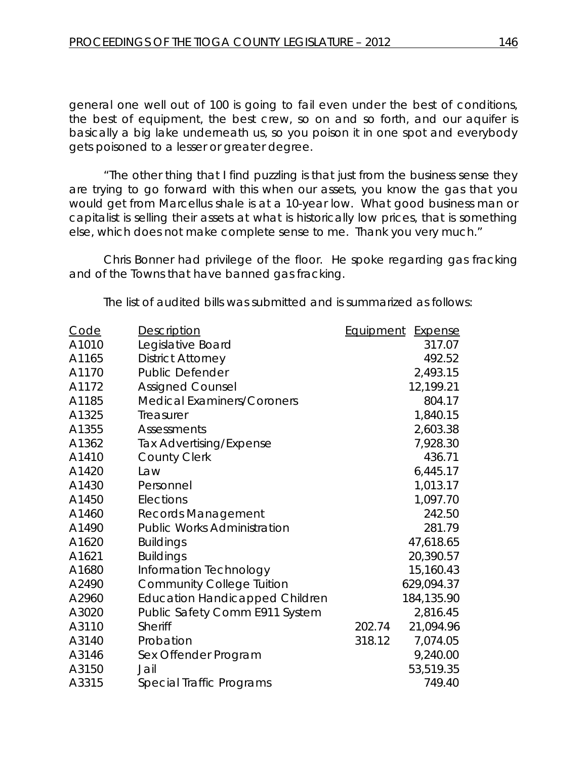general one well out of 100 is going to fail even under the best of conditions, the best of equipment, the best crew, so on and so forth, and our aquifer is basically a big lake underneath us, so you poison it in one spot and everybody gets poisoned to a lesser or greater degree.

"The other thing that I find puzzling is that just from the business sense they are trying to go forward with this when our assets, you know the gas that you would get from Marcellus shale is at a 10-year low. What good business man or capitalist is selling their assets at what is historically low prices, that is something else, which does not make complete sense to me. Thank you very much."

Chris Bonner had privilege of the floor. He spoke regarding gas fracking and of the Towns that have banned gas fracking.

The list of audited bills was submitted and is summarized as follows:

| Code  | <b>Description</b>                    | <b>Equipment Expense</b> |            |
|-------|---------------------------------------|--------------------------|------------|
| A1010 | Legislative Board                     |                          | 317.07     |
| A1165 | <b>District Attorney</b>              |                          | 492.52     |
| A1170 | <b>Public Defender</b>                |                          | 2,493.15   |
| A1172 | <b>Assigned Counsel</b>               |                          | 12,199.21  |
| A1185 | <b>Medical Examiners/Coroners</b>     |                          | 804.17     |
| A1325 | Treasurer                             |                          | 1,840.15   |
| A1355 | Assessments                           |                          | 2,603.38   |
| A1362 | Tax Advertising/Expense               |                          | 7,928.30   |
| A1410 | <b>County Clerk</b>                   |                          | 436.71     |
| A1420 | Law                                   |                          | 6,445.17   |
| A1430 | Personnel                             |                          | 1,013.17   |
| A1450 | Elections                             |                          | 1,097.70   |
| A1460 | <b>Records Management</b>             |                          | 242.50     |
| A1490 | <b>Public Works Administration</b>    |                          | 281.79     |
| A1620 | <b>Buildings</b>                      |                          | 47,618.65  |
| A1621 | <b>Buildings</b>                      |                          | 20,390.57  |
| A1680 | Information Technology                |                          | 15,160.43  |
| A2490 | <b>Community College Tuition</b>      |                          | 629,094.37 |
| A2960 | <b>Education Handicapped Children</b> |                          | 184,135.90 |
| A3020 | Public Safety Comm E911 System        |                          | 2,816.45   |
| A3110 | <b>Sheriff</b>                        | 202.74                   | 21,094.96  |
| A3140 | Probation                             | 318.12                   | 7,074.05   |
| A3146 | Sex Offender Program                  |                          | 9,240.00   |
| A3150 | Jail                                  |                          | 53,519.35  |
| A3315 | Special Traffic Programs              |                          | 749.40     |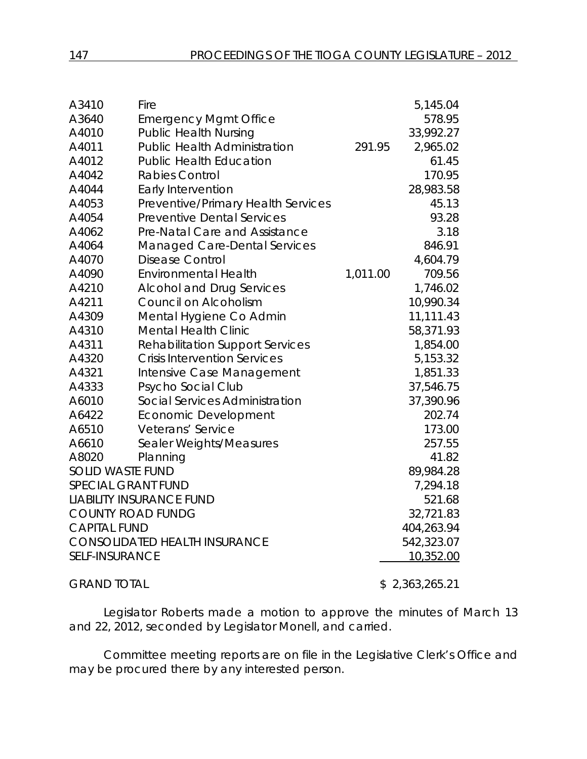| A3410                   | Fire                                   |          | 5,145.04       |
|-------------------------|----------------------------------------|----------|----------------|
| A3640                   | <b>Emergency Mgmt Office</b>           |          | 578.95         |
| A4010                   | <b>Public Health Nursing</b>           |          | 33,992.27      |
| A4011                   | <b>Public Health Administration</b>    | 291.95   | 2,965.02       |
| A4012                   | <b>Public Health Education</b>         |          | 61.45          |
| A4042                   | <b>Rabies Control</b>                  |          | 170.95         |
| A4044                   | Early Intervention                     |          | 28,983.58      |
| A4053                   | Preventive/Primary Health Services     |          | 45.13          |
| A4054                   | <b>Preventive Dental Services</b>      |          | 93.28          |
| A4062                   | Pre-Natal Care and Assistance          |          | 3.18           |
| A4064                   | <b>Managed Care-Dental Services</b>    |          | 846.91         |
| A4070                   | <b>Disease Control</b>                 |          | 4,604.79       |
| A4090                   | <b>Environmental Health</b>            | 1,011.00 | 709.56         |
| A4210                   | <b>Alcohol and Drug Services</b>       |          | 1,746.02       |
| A4211                   | Council on Alcoholism                  |          | 10,990.34      |
| A4309                   | Mental Hygiene Co Admin                |          | 11,111.43      |
| A4310                   | <b>Mental Health Clinic</b>            |          | 58,371.93      |
| A4311                   | <b>Rehabilitation Support Services</b> |          | 1,854.00       |
| A4320                   | <b>Crisis Intervention Services</b>    |          | 5,153.32       |
| A4321                   | Intensive Case Management              |          | 1,851.33       |
| A4333                   | Psycho Social Club                     |          | 37,546.75      |
| A6010                   | Social Services Administration         |          | 37,390.96      |
| A6422                   | Economic Development                   |          | 202.74         |
| A6510                   | Veterans' Service                      |          | 173.00         |
| A6610                   | Sealer Weights/Measures                |          | 257.55         |
| A8020                   | Planning                               |          | 41.82          |
| <b>SOLID WASTE FUND</b> |                                        |          | 89,984.28      |
|                         | SPECIAL GRANT FUND                     |          | 7,294.18       |
|                         | <b>LIABILITY INSURANCE FUND</b>        |          | 521.68         |
|                         | <b>COUNTY ROAD FUNDG</b>               |          | 32,721.83      |
| <b>CAPITAL FUND</b>     |                                        |          | 404,263.94     |
|                         | <b>CONSOLIDATED HEALTH INSURANCE</b>   |          | 542,323.07     |
| <b>SELF-INSURANCE</b>   |                                        |          | 10,352.00      |
| <b>GRAND TOTAL</b>      |                                        |          | \$2,363,265.21 |

Legislator Roberts made a motion to approve the minutes of March 13 and 22, 2012, seconded by Legislator Monell, and carried.

Committee meeting reports are on file in the Legislative Clerk's Office and may be procured there by any interested person.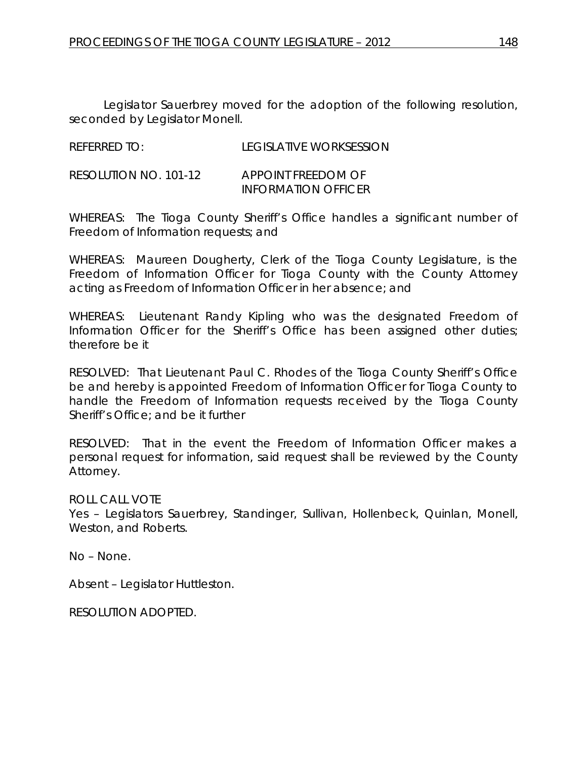Legislator Sauerbrey moved for the adoption of the following resolution, seconded by Legislator Monell.

REFERRED TO: LEGISLATIVE WORKSESSION

RESOLUTION NO. 101-12 *APPOINT FREEDOM OF INFORMATION OFFICER*

WHEREAS: The Tioga County Sheriff's Office handles a significant number of Freedom of Information requests; and

WHEREAS: Maureen Dougherty, Clerk of the Tioga County Legislature, is the Freedom of Information Officer for Tioga County with the County Attorney acting as Freedom of Information Officer in her absence; and

WHEREAS: Lieutenant Randy Kipling who was the designated Freedom of Information Officer for the Sheriff's Office has been assigned other duties; therefore be it

RESOLVED: That Lieutenant Paul C. Rhodes of the Tioga County Sheriff's Office be and hereby is appointed Freedom of Information Officer for Tioga County to handle the Freedom of Information requests received by the Tioga County Sheriff's Office; and be it further

RESOLVED: That in the event the Freedom of Information Officer makes a personal request for information, said request shall be reviewed by the County Attorney.

ROLL CALL VOTE

Yes – Legislators Sauerbrey, Standinger, Sullivan, Hollenbeck, Quinlan, Monell, Weston, and Roberts.

No – None.

Absent – Legislator Huttleston.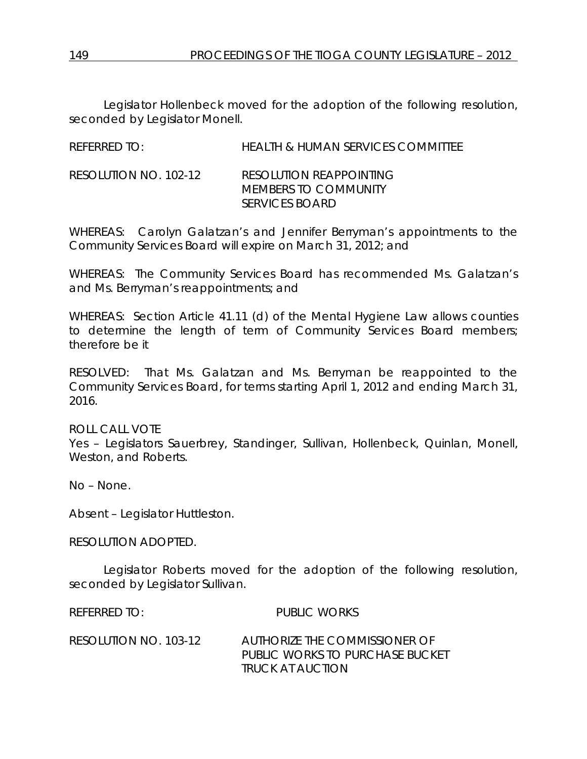Legislator Hollenbeck moved for the adoption of the following resolution, seconded by Legislator Monell.

REFERRED TO: HEALTH & HUMAN SERVICES COMMITTEE

RESOLUTION NO. 102-12 *RESOLUTION REAPPOINTING MEMBERS TO COMMUNITY SERVICES BOARD*

WHEREAS: Carolyn Galatzan's and Jennifer Berryman's appointments to the Community Services Board will expire on March 31, 2012; and

WHEREAS: The Community Services Board has recommended Ms. Galatzan's and Ms. Berryman's reappointments; and

WHEREAS: Section Article 41.11 (d) of the Mental Hygiene Law allows counties to determine the length of term of Community Services Board members; therefore be it

RESOLVED: That Ms. Galatzan and Ms. Berryman be reappointed to the Community Services Board, for terms starting April 1, 2012 and ending March 31, 2016.

ROLL CALL VOTE

Yes – Legislators Sauerbrey, Standinger, Sullivan, Hollenbeck, Quinlan, Monell, Weston, and Roberts.

No – None.

Absent – Legislator Huttleston.

RESOLUTION ADOPTED.

Legislator Roberts moved for the adoption of the following resolution, seconded by Legislator Sullivan.

REFERRED TO: PUBLIC WORKS

| RESOLUTION NO. 103-12 | AUTHORIZE THE COMMISSIONER OF   |
|-----------------------|---------------------------------|
|                       | PUBLIC WORKS TO PURCHASE BUCKET |
|                       | TRUCK AT AUCTION                |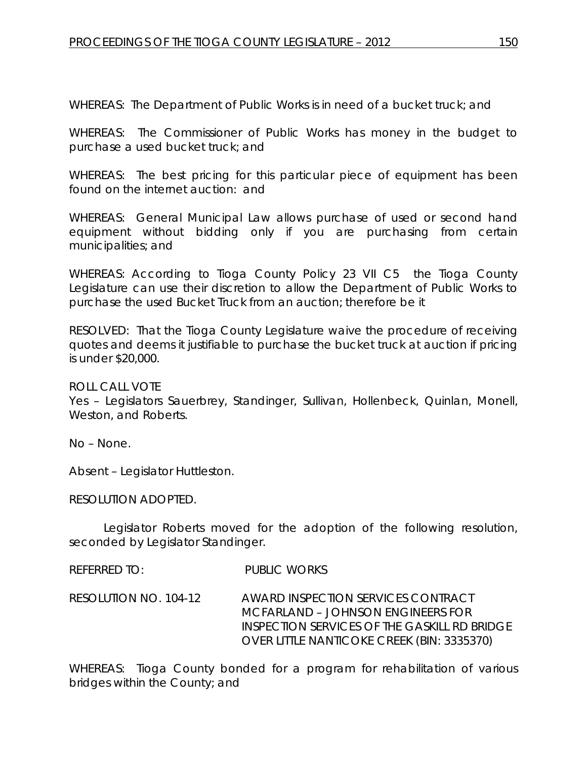WHEREAS: The Department of Public Works is in need of a bucket truck; and

WHEREAS: The Commissioner of Public Works has money in the budget to purchase a used bucket truck; and

WHEREAS: The best pricing for this particular piece of equipment has been found on the internet auction: and

WHEREAS: General Municipal Law allows purchase of used or second hand equipment without bidding only if you are purchasing from certain municipalities; and

WHEREAS: According to Tioga County Policy 23 VII C5 the Tioga County Legislature can use their discretion to allow the Department of Public Works to purchase the used Bucket Truck from an auction; therefore be it

RESOLVED: That the Tioga County Legislature waive the procedure of receiving quotes and deems it justifiable to purchase the bucket truck at auction if pricing is under \$20,000.

ROLL CALL VOTE

Yes – Legislators Sauerbrey, Standinger, Sullivan, Hollenbeck, Quinlan, Monell, Weston, and Roberts.

No – None.

Absent – Legislator Huttleston.

RESOLUTION ADOPTED.

Legislator Roberts moved for the adoption of the following resolution, seconded by Legislator Standinger.

REFERRED TO: PUBLIC WORKS RESOLUTION NO. 104-12 *AWARD INSPECTION SERVICES CONTRACT*

*MCFARLAND – JOHNSON ENGINEERS FOR INSPECTION SERVICES OF THE GASKILL RD BRIDGE OVER LITTLE NANTICOKE CREEK (BIN: 3335370)* 

WHEREAS: Tioga County bonded for a program for rehabilitation of various bridges within the County; and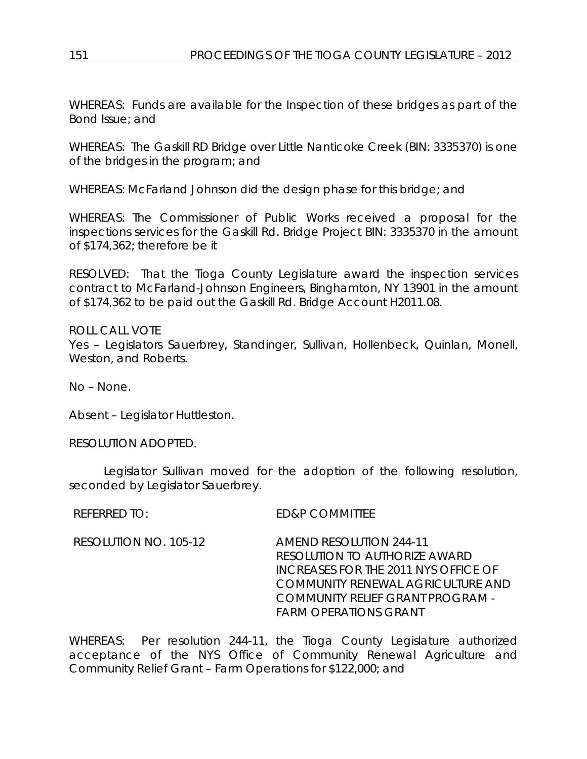WHEREAS: Funds are available for the Inspection of these bridges as part of the Bond Issue; and

WHEREAS: The Gaskill RD Bridge over Little Nanticoke Creek (BIN: 3335370) is one of the bridges in the program; and

WHEREAS: McFarland Johnson did the design phase for this bridge; and

WHEREAS: The Commissioner of Public Works received a proposal for the inspections services for the Gaskill Rd. Bridge Project BIN: 3335370 in the amount of \$174,362; therefore be it

RESOLVED: That the Tioga County Legislature award the inspection services contract to McFarland-Johnson Engineers, Binghamton, NY 13901 in the amount of \$174,362 to be paid out the Gaskill Rd. Bridge Account H2011.08.

ROLL CALL VOTE Yes – Legislators Sauerbrey, Standinger, Sullivan, Hollenbeck, Quinlan, Monell, Weston, and Roberts.

No – None.

Absent – Legislator Huttleston.

RESOLUTION ADOPTED.

Legislator Sullivan moved for the adoption of the following resolution, seconded by Legislator Sauerbrey.

REFERRED TO: ED&P COMMITTEE

RESOLUTION NO. 105-12 *AMEND RESOLUTION 244-11 RESOLUTION TO AUTHORIZE AWARD INCREASES FOR THE 2011 NYS OFFICE OF COMMUNITY RENEWAL AGRICULTURE AND COMMUNITY RELIEF GRANT PROGRAM - FARM OPERATIONS GRANT*

WHEREAS: Per resolution 244-11, the Tioga County Legislature authorized acceptance of the NYS Office of Community Renewal Agriculture and Community Relief Grant – Farm Operations for \$122,000; and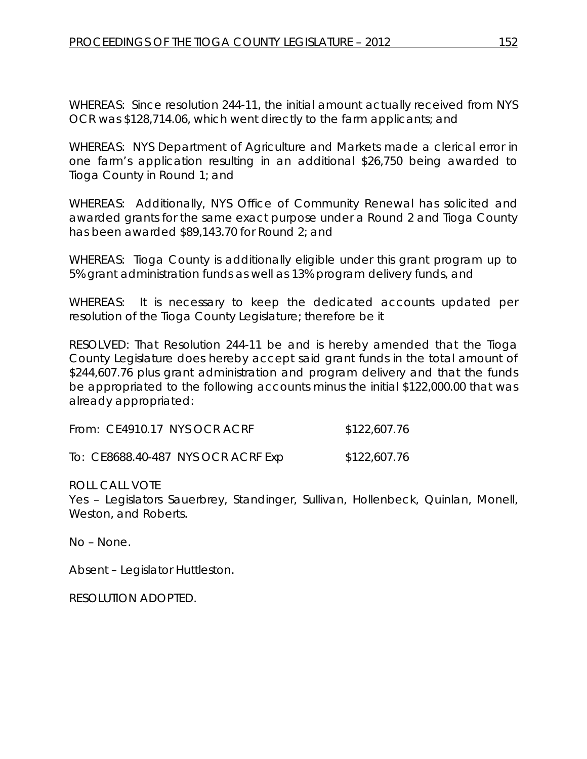WHEREAS: Since resolution 244-11, the initial amount actually received from NYS OCR was \$128,714.06, which went directly to the farm applicants; and

WHEREAS: NYS Department of Agriculture and Markets made a clerical error in one farm's application resulting in an additional \$26,750 being awarded to Tioga County in Round 1; and

WHEREAS: Additionally, NYS Office of Community Renewal has solicited and awarded grants for the same exact purpose under a Round 2 and Tioga County has been awarded \$89,143.70 for Round 2; and

WHEREAS: Tioga County is additionally eligible under this grant program up to 5% grant administration funds as well as 13% program delivery funds, and

WHEREAS: It is necessary to keep the dedicated accounts updated per resolution of the Tioga County Legislature; therefore be it

RESOLVED: That Resolution 244-11 be and is hereby amended that the Tioga County Legislature does hereby accept said grant funds in the total amount of \$244,607.76 plus grant administration and program delivery and that the funds be appropriated to the following accounts minus the initial \$122,000.00 that was already appropriated:

|  | From: CE4910.17 NYS OCR ACRF | \$122,607.76 |
|--|------------------------------|--------------|
|  |                              |              |

To: CE8688.40-487 NYS OCR ACRF Exp \$122,607.76

ROLL CALL VOTE

Yes – Legislators Sauerbrey, Standinger, Sullivan, Hollenbeck, Quinlan, Monell, Weston, and Roberts.

No – None.

Absent – Legislator Huttleston.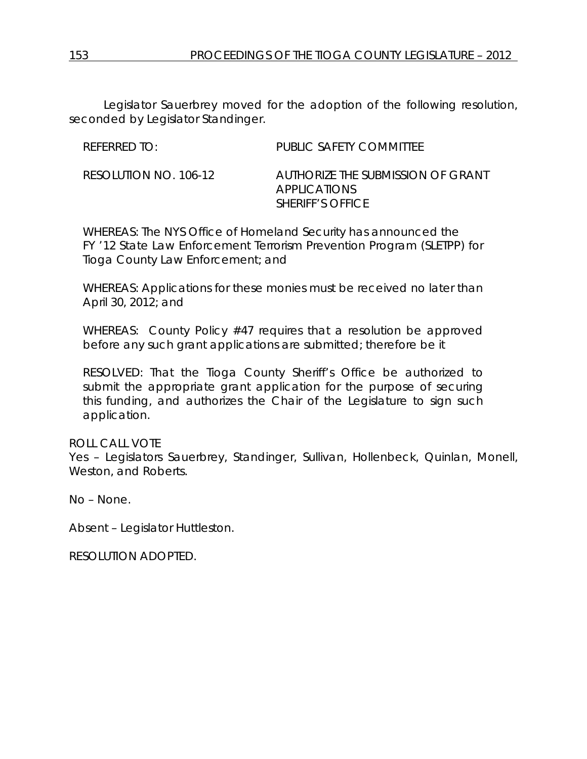Legislator Sauerbrey moved for the adoption of the following resolution, seconded by Legislator Standinger.

| $R$ FFFRRFD TO:       | PUBLIC SAFETY COMMITTEE                                                      |
|-----------------------|------------------------------------------------------------------------------|
| RESOLUTION NO. 106-12 | AUTHORIZE THE SUBMISSION OF GRANT<br>APPLICATIONS<br><b>SHERIFF'S OFFICE</b> |

WHEREAS: The NYS Office of Homeland Security has announced the FY '12 State Law Enforcement Terrorism Prevention Program (SLETPP) for Tioga County Law Enforcement; and

WHEREAS: Applications for these monies must be received no later than April 30, 2012; and

WHEREAS: County Policy #47 requires that a resolution be approved before any such grant applications are submitted; therefore be it

RESOLVED: That the Tioga County Sheriff's Office be authorized to submit the appropriate grant application for the purpose of securing this funding, and authorizes the Chair of the Legislature to sign such application.

ROLL CALL VOTE Yes – Legislators Sauerbrey, Standinger, Sullivan, Hollenbeck, Quinlan, Monell, Weston, and Roberts.

No – None.

Absent – Legislator Huttleston.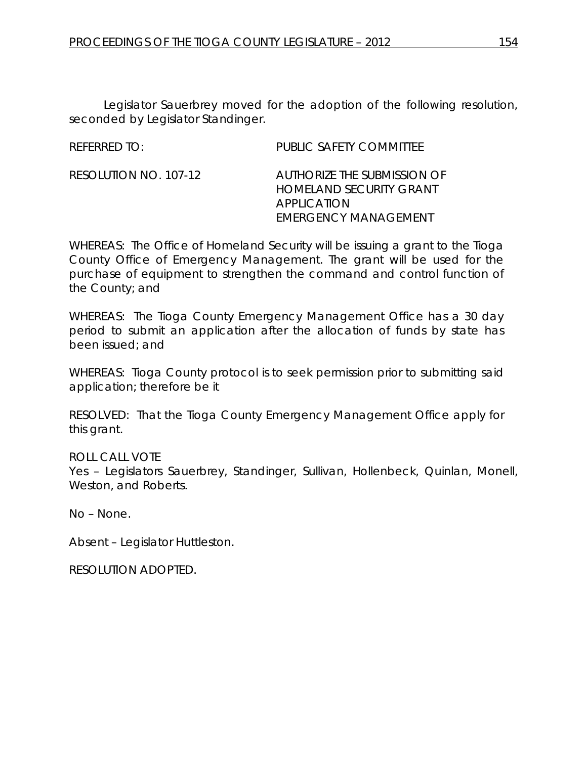Legislator Sauerbrey moved for the adoption of the following resolution, seconded by Legislator Standinger.

| REFERRED TO:          | PUBLIC SAFETY COMMITTEE     |
|-----------------------|-----------------------------|
| RESOLUTION NO. 107-12 | AUTHORIZE THE SUBMISSION OF |

# *HOMELAND SECURITY GRANT APPLICATION EMERGENCY MANAGEMENT*

WHEREAS: The Office of Homeland Security will be issuing a grant to the Tioga County Office of Emergency Management. The grant will be used for the purchase of equipment to strengthen the command and control function of the County; and

WHEREAS: The Tioga County Emergency Management Office has a 30 day period to submit an application after the allocation of funds by state has been issued; and

WHEREAS: Tioga County protocol is to seek permission prior to submitting said application; therefore be it

RESOLVED: That the Tioga County Emergency Management Office apply for this grant.

ROLL CALL VOTE

Yes – Legislators Sauerbrey, Standinger, Sullivan, Hollenbeck, Quinlan, Monell, Weston, and Roberts.

No – None.

Absent – Legislator Huttleston.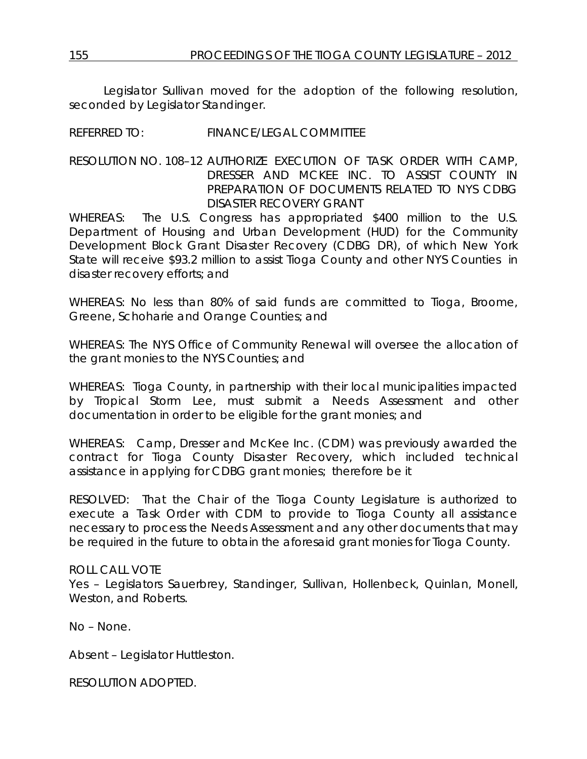Legislator Sullivan moved for the adoption of the following resolution, seconded by Legislator Standinger.

REFERRED TO: FINANCE/LEGAL COMMITTEE

RESOLUTION NO. 108–12 *AUTHORIZE EXECUTION OF TASK ORDER WITH CAMP, DRESSER AND MCKEE INC. TO ASSIST COUNTY IN PREPARATION OF DOCUMENTS RELATED TO NYS CDBG DISASTER RECOVERY GRANT*

WHEREAS: The U.S. Congress has appropriated \$400 million to the U.S. Department of Housing and Urban Development (HUD) for the Community Development Block Grant Disaster Recovery (CDBG DR), of which New York State will receive \$93.2 million to assist Tioga County and other NYS Counties in disaster recovery efforts; and

WHEREAS: No less than 80% of said funds are committed to Tioga, Broome, Greene, Schoharie and Orange Counties; and

WHEREAS: The NYS Office of Community Renewal will oversee the allocation of the grant monies to the NYS Counties; and

WHEREAS: Tioga County, in partnership with their local municipalities impacted by Tropical Storm Lee, must submit a Needs Assessment and other documentation in order to be eligible for the grant monies; and

WHEREAS: Camp, Dresser and McKee Inc. (CDM) was previously awarded the contract for Tioga County Disaster Recovery, which included technical assistance in applying for CDBG grant monies; therefore be it

RESOLVED: That the Chair of the Tioga County Legislature is authorized to execute a Task Order with CDM to provide to Tioga County all assistance necessary to process the Needs Assessment and any other documents that may be required in the future to obtain the aforesaid grant monies for Tioga County.

### ROLL CALL VOTE

Yes – Legislators Sauerbrey, Standinger, Sullivan, Hollenbeck, Quinlan, Monell, Weston, and Roberts.

No – None.

Absent – Legislator Huttleston.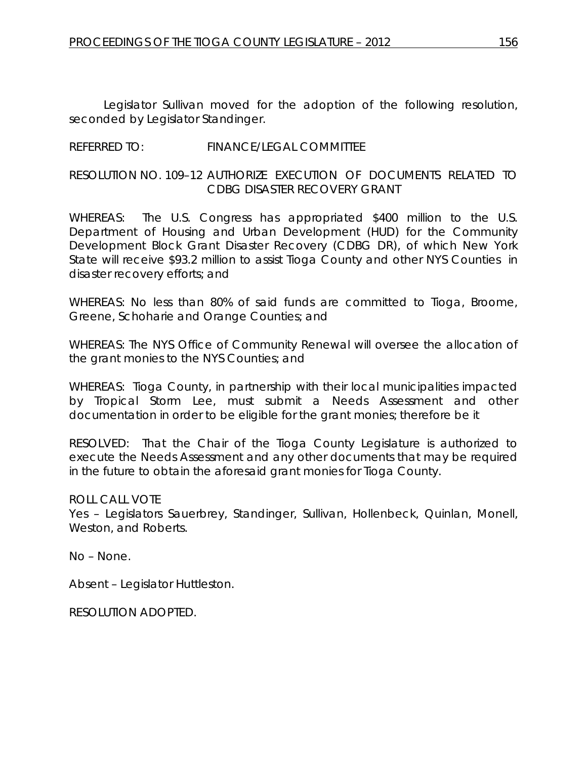Legislator Sullivan moved for the adoption of the following resolution, seconded by Legislator Standinger.

# REFERRED TO: FINANCE/LEGAL COMMITTEE

## RESOLUTION NO. 109–12 *AUTHORIZE EXECUTION OF DOCUMENTS RELATED TO CDBG DISASTER RECOVERY GRANT*

WHEREAS: The U.S. Congress has appropriated \$400 million to the U.S. Department of Housing and Urban Development (HUD) for the Community Development Block Grant Disaster Recovery (CDBG DR), of which New York State will receive \$93.2 million to assist Tioga County and other NYS Counties in disaster recovery efforts; and

WHEREAS: No less than 80% of said funds are committed to Tioga, Broome, Greene, Schoharie and Orange Counties; and

WHEREAS: The NYS Office of Community Renewal will oversee the allocation of the grant monies to the NYS Counties; and

WHEREAS: Tioga County, in partnership with their local municipalities impacted by Tropical Storm Lee, must submit a Needs Assessment and other documentation in order to be eligible for the grant monies; therefore be it

RESOLVED: That the Chair of the Tioga County Legislature is authorized to execute the Needs Assessment and any other documents that may be required in the future to obtain the aforesaid grant monies for Tioga County.

# ROLL CALL VOTE

Yes – Legislators Sauerbrey, Standinger, Sullivan, Hollenbeck, Quinlan, Monell, Weston, and Roberts.

No – None.

Absent – Legislator Huttleston.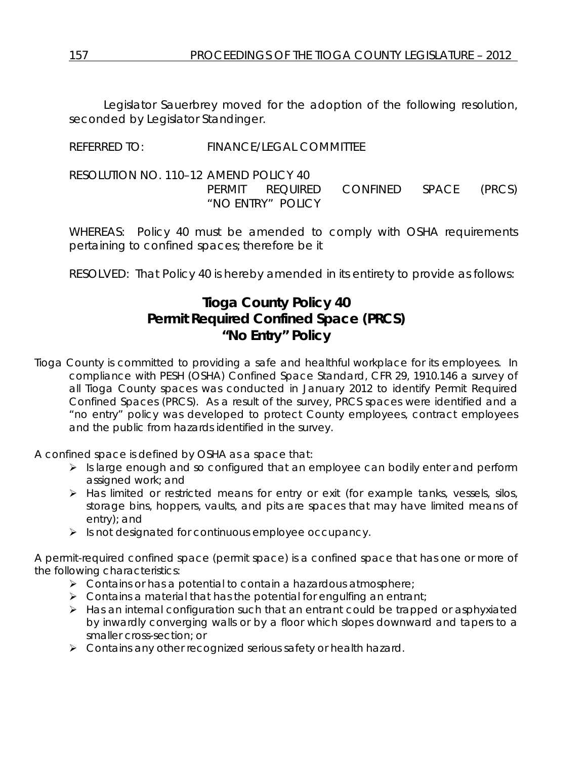Legislator Sauerbrey moved for the adoption of the following resolution, seconded by Legislator Standinger.

# REFERRED TO: FINANCE/LEGAL COMMITTEE

RESOLUTION NO. 110–12 *AMEND POLICY 40 PERMIT REQUIRED CONFINED SPACE (PRCS) "NO ENTRY" POLICY*

WHEREAS: Policy 40 must be amended to comply with OSHA requirements pertaining to confined spaces; therefore be it

RESOLVED: That Policy 40 is hereby amended in its entirety to provide as follows:

# **Tioga County Policy 40 Permit Required Confined Space (PRCS) "No Entry" Policy**

Tioga County is committed to providing a safe and healthful workplace for its employees. In compliance with PESH (OSHA) Confined Space Standard, CFR 29, 1910.146 a survey of all Tioga County spaces was conducted in January 2012 to identify Permit Required Confined Spaces (PRCS). As a result of the survey, PRCS spaces were identified and a "no entry" policy was developed to protect County employees, contract employees and the public from hazards identified in the survey.

A confined space is defined by OSHA as a space that:

- If Is large enough and so configured that an employee can bodily enter and perform assigned work; and
- $\triangleright$  Has limited or restricted means for entry or exit (for example tanks, vessels, silos, storage bins, hoppers, vaults, and pits are spaces that may have limited means of entry); and
- $\triangleright$  Is not designated for continuous employee occupancy.

A permit-required confined space (permit space) is a confined space that has one or more of the following characteristics:

- $\triangleright$  Contains or has a potential to contain a hazardous atmosphere;
- $\triangleright$  Contains a material that has the potential for engulfing an entrant;
- Has an internal configuration such that an entrant could be trapped or asphyxiated by inwardly converging walls or by a floor which slopes downward and tapers to a smaller cross-section; or
- > Contains any other recognized serious safety or health hazard.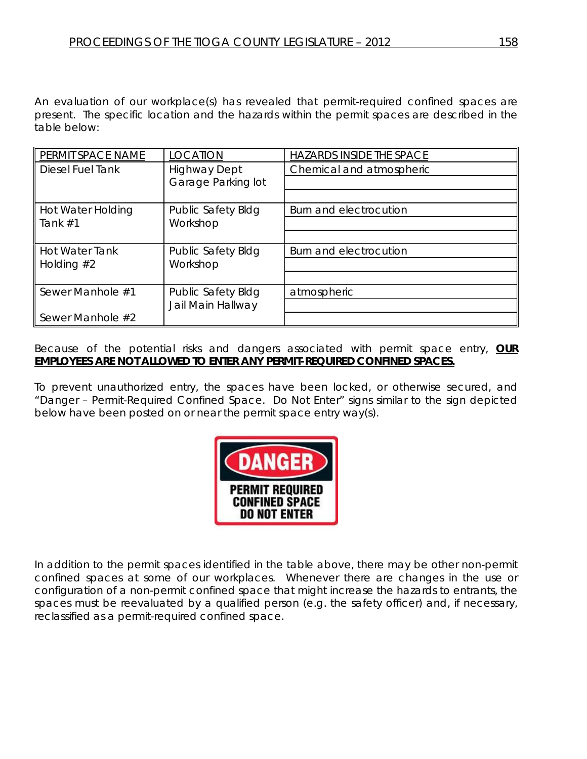An evaluation of our workplace(s) has revealed that permit-required confined spaces are present. The specific location and the hazards within the permit spaces are described in the table below:

| PERMIT SPACE NAME     | <b>LOCATION</b>           | HAZARDS INSIDE THE SPACE |
|-----------------------|---------------------------|--------------------------|
| Diesel Fuel Tank      | <b>Highway Dept</b>       | Chemical and atmospheric |
|                       | Garage Parking lot        |                          |
|                       |                           |                          |
| Hot Water Holding     | <b>Public Safety Bldg</b> | Burn and electrocution   |
| Tank $#1$             | Workshop                  |                          |
|                       |                           |                          |
| <b>Hot Water Tank</b> | Public Safety Bldg        | Burn and electrocution   |
| Holding $#2$          | Workshop                  |                          |
|                       |                           |                          |
| Sewer Manhole #1      | Public Safety Bldg        | atmospheric              |
|                       | Jail Main Hallway         |                          |
| Sewer Manhole #2      |                           |                          |

Because of the potential risks and dangers associated with permit space entry, **OUR EMPLOYEES ARE NOT ALLOWED TO ENTER ANY PERMIT-REQUIRED CONFINED SPACES.**

To prevent unauthorized entry, the spaces have been locked, or otherwise secured, and "Danger – Permit-Required Confined Space. Do Not Enter" signs similar to the sign depicted below have been posted on or near the permit space entry way(s).



In addition to the permit spaces identified in the table above, there may be other non-permit confined spaces at some of our workplaces. Whenever there are changes in the use or configuration of a non-permit confined space that might increase the hazards to entrants, the spaces must be reevaluated by a qualified person (e.g. the safety officer) and, if necessary, reclassified as a permit-required confined space.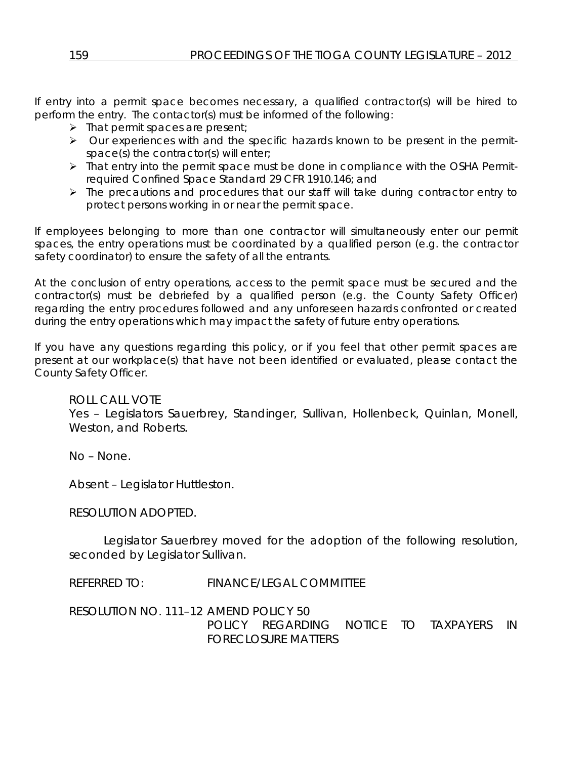If entry into a permit space becomes necessary, a qualified contractor(s) will be hired to perform the entry. The contactor(s) must be informed of the following:

- $\triangleright$  That permit spaces are present;
- $\triangleright$  Our experiences with and the specific hazards known to be present in the permitspace(s) the contractor(s) will enter;
- > That entry into the permit space must be done in compliance with the OSHA Permitrequired Confined Space Standard 29 CFR 1910.146; and
- $\triangleright$  The precautions and procedures that our staff will take during contractor entry to protect persons working in or near the permit space.

If employees belonging to more than one contractor will simultaneously enter our permit spaces, the entry operations must be coordinated by a qualified person (e.g. the contractor safety coordinator) to ensure the safety of all the entrants.

At the conclusion of entry operations, access to the permit space must be secured and the contractor(s) must be debriefed by a qualified person (e.g. the County Safety Officer) regarding the entry procedures followed and any unforeseen hazards confronted or created during the entry operations which may impact the safety of future entry operations.

If you have any questions regarding this policy, or if you feel that other permit spaces are present at our workplace(s) that have not been identified or evaluated, please contact the County Safety Officer.

ROLL CALL VOTE Yes – Legislators Sauerbrey, Standinger, Sullivan, Hollenbeck, Quinlan, Monell, Weston, and Roberts.

No – None.

Absent – Legislator Huttleston.

RESOLUTION ADOPTED.

Legislator Sauerbrey moved for the adoption of the following resolution, seconded by Legislator Sullivan.

REFERRED TO: FINANCE/LEGAL COMMITTEE

RESOLUTION NO. 111–12 *AMEND POLICY 50 POLICY REGARDING NOTICE TO TAXPAYERS IN FORECLOSURE MATTERS*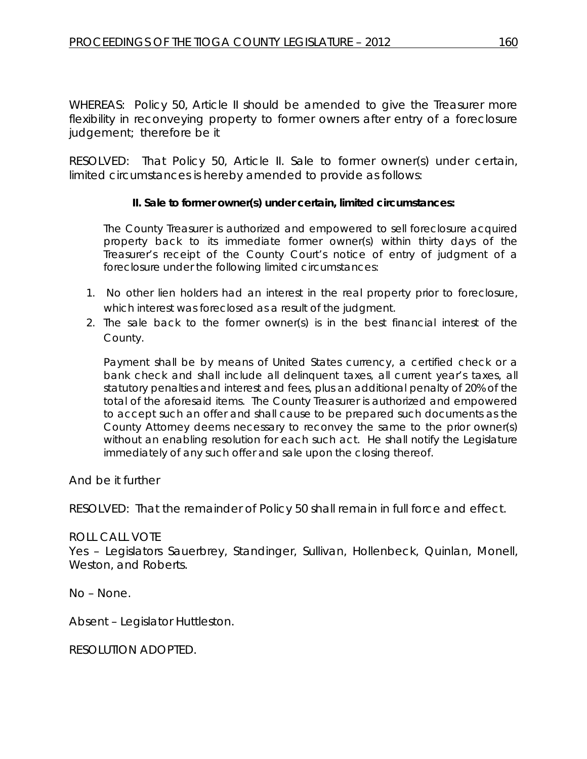WHEREAS: Policy 50, Article II should be amended to give the Treasurer more flexibility in reconveying property to former owners after entry of a foreclosure judgement; therefore be it

RESOLVED: That Policy 50, Article II. Sale to former owner(s) under certain, limited circumstances is hereby amended to provide as follows:

### **II. Sale to former owner(s) under certain, limited circumstances:**

The County Treasurer is authorized and empowered to sell foreclosure acquired property back to its immediate former owner(s) within thirty days of the Treasurer's receipt of the County Court's notice of entry of judgment of a foreclosure under the following limited circumstances:

- 1. No other lien holders had an interest in the real property prior to foreclosure, which interest was foreclosed as a result of the judgment.
- 2. The sale back to the former owner(s) is in the best financial interest of the County.

Payment shall be by means of United States currency, a certified check or a bank check and shall include all delinquent taxes, all current year's taxes, all statutory penalties and interest and fees, plus an additional penalty of 20% of the total of the aforesaid items. The County Treasurer is authorized and empowered to accept such an offer and shall cause to be prepared such documents as the County Attorney deems necessary to reconvey the same to the prior owner(s) without an enabling resolution for each such act. He shall notify the Legislature immediately of any such offer and sale upon the closing thereof.

And be it further

RESOLVED: That the remainder of Policy 50 shall remain in full force and effect.

### ROLL CALL VOTE

Yes – Legislators Sauerbrey, Standinger, Sullivan, Hollenbeck, Quinlan, Monell, Weston, and Roberts.

No – None.

Absent – Legislator Huttleston.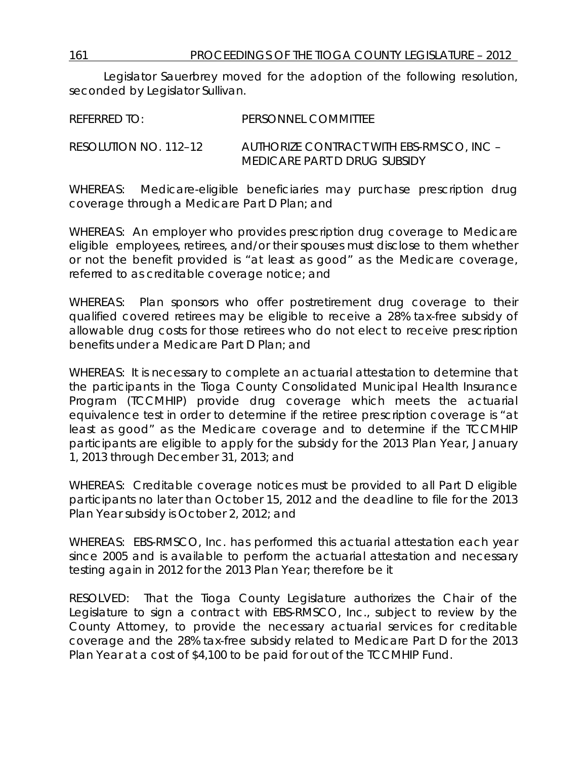161 PROCEEDINGS OF THE TIOGA COUNTY LEGISLATURE – 2012

Legislator Sauerbrey moved for the adoption of the following resolution, seconded by Legislator Sullivan.

REFERRED TO: PERSONNEL COMMITTEE

RESOLUTION NO. 112–12 *AUTHORIZE CONTRACT WITH EBS-RMSCO, INC – MEDICARE PART D DRUG SUBSIDY*

WHEREAS: Medicare-eligible beneficiaries may purchase prescription drug coverage through a Medicare Part D Plan; and

WHEREAS: An employer who provides prescription drug coverage to Medicare eligible employees, retirees, and/or their spouses must disclose to them whether or not the benefit provided is "at least as good" as the Medicare coverage, referred to as creditable coverage notice; and

WHEREAS: Plan sponsors who offer postretirement drug coverage to their qualified covered retirees may be eligible to receive a 28% tax-free subsidy of allowable drug costs for those retirees who do not elect to receive prescription benefits under a Medicare Part D Plan; and

WHEREAS: It is necessary to complete an actuarial attestation to determine that the participants in the Tioga County Consolidated Municipal Health Insurance Program (TCCMHIP) provide drug coverage which meets the actuarial equivalence test in order to determine if the retiree prescription coverage is "at least as good" as the Medicare coverage and to determine if the TCCMHIP participants are eligible to apply for the subsidy for the 2013 Plan Year, January 1, 2013 through December 31, 2013; and

WHEREAS: Creditable coverage notices must be provided to all Part D eligible participants no later than October 15, 2012 and the deadline to file for the 2013 Plan Year subsidy is October 2, 2012; and

WHEREAS: EBS-RMSCO, Inc. has performed this actuarial attestation each year since 2005 and is available to perform the actuarial attestation and necessary testing again in 2012 for the 2013 Plan Year; therefore be it

RESOLVED: That the Tioga County Legislature authorizes the Chair of the Legislature to sign a contract with EBS-RMSCO, Inc., subject to review by the County Attorney, to provide the necessary actuarial services for creditable coverage and the 28% tax-free subsidy related to Medicare Part D for the 2013 Plan Year at a cost of \$4,100 to be paid for out of the TCCMHIP Fund.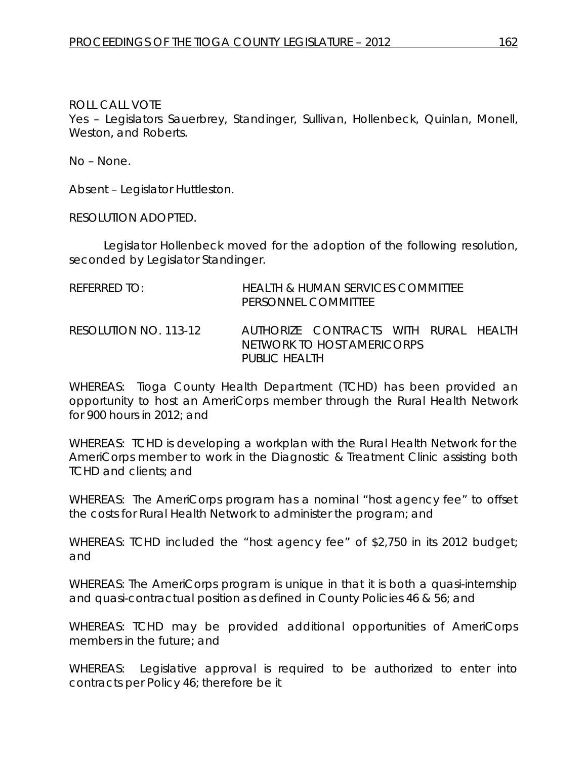ROLL CALL VOTE

Yes – Legislators Sauerbrey, Standinger, Sullivan, Hollenbeck, Quinlan, Monell, Weston, and Roberts.

No – None.

Absent – Legislator Huttleston.

RESOLUTION ADOPTED.

Legislator Hollenbeck moved for the adoption of the following resolution, seconded by Legislator Standinger.

| REFERRED TO:          | HEALTH & HUMAN SERVICES COMMITTEE<br>PERSONNEL COMMITTEE                             |
|-----------------------|--------------------------------------------------------------------------------------|
| RESOLUTION NO. 113-12 | AUTHORIZE CONTRACTS WITH RURAL HEALTH<br>NETWORK TO HOST AMERICORPS<br>PUBLIC HEALTH |

WHEREAS: Tioga County Health Department (TCHD) has been provided an opportunity to host an AmeriCorps member through the Rural Health Network for 900 hours in 2012; and

WHEREAS: TCHD is developing a workplan with the Rural Health Network for the AmeriCorps member to work in the Diagnostic & Treatment Clinic assisting both TCHD and clients; and

WHEREAS: The AmeriCorps program has a nominal "host agency fee" to offset the costs for Rural Health Network to administer the program; and

WHEREAS: TCHD included the "host agency fee" of \$2,750 in its 2012 budget; and

WHEREAS: The AmeriCorps program is unique in that it is both a quasi-internship and quasi-contractual position as defined in County Policies 46 & 56; and

WHEREAS: TCHD may be provided additional opportunities of AmeriCorps members in the future; and

WHEREAS: Legislative approval is required to be authorized to enter into contracts per Policy 46; therefore be it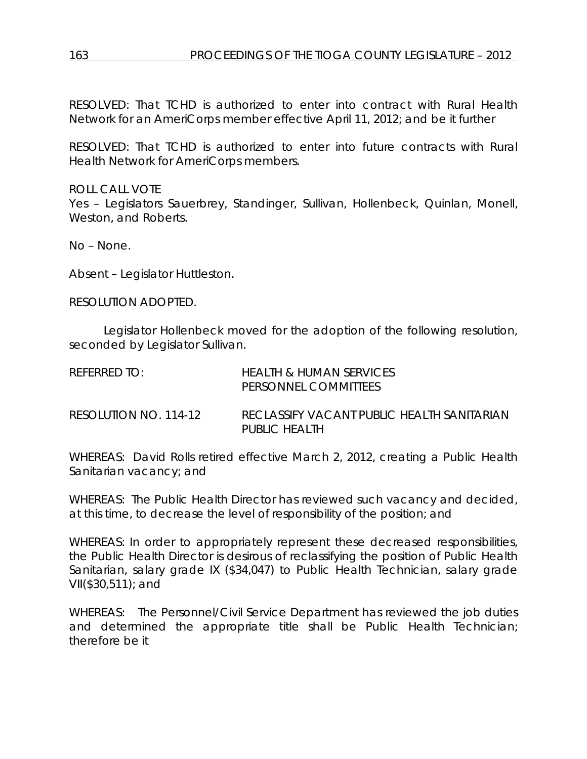RESOLVED: That TCHD is authorized to enter into contract with Rural Health Network for an AmeriCorps member effective April 11, 2012; and be it further

RESOLVED: That TCHD is authorized to enter into future contracts with Rural Health Network for AmeriCorps members.

ROLL CALL VOTE Yes – Legislators Sauerbrey, Standinger, Sullivan, Hollenbeck, Quinlan, Monell, Weston, and Roberts.

No – None.

Absent – Legislator Huttleston.

RESOLUTION ADOPTED.

Legislator Hollenbeck moved for the adoption of the following resolution, seconded by Legislator Sullivan.

| REFERRED TO:          | HEALTH & HUMAN SERVICES<br>PERSONNEL COMMITTEES             |
|-----------------------|-------------------------------------------------------------|
| RESOLUTION NO. 114-12 | RECLASSIEY VACANT PUBLIC HEALTH SANITARIAN<br>PUBLIC HEALTH |

WHEREAS: David Rolls retired effective March 2, 2012, creating a Public Health Sanitarian vacancy; and

WHEREAS: The Public Health Director has reviewed such vacancy and decided, at this time, to decrease the level of responsibility of the position; and

WHEREAS: In order to appropriately represent these decreased responsibilities, the Public Health Director is desirous of reclassifying the position of Public Health Sanitarian, salary grade IX (\$34,047) to Public Health Technician, salary grade VII(\$30,511); and

WHEREAS: The Personnel/Civil Service Department has reviewed the job duties and determined the appropriate title shall be Public Health Technician; therefore be it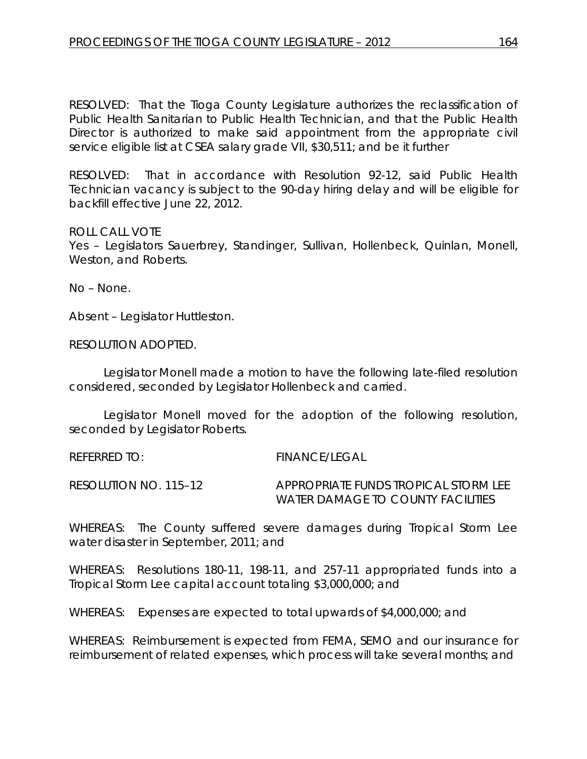RESOLVED: That the Tioga County Legislature authorizes the reclassification of Public Health Sanitarian to Public Health Technician, and that the Public Health Director is authorized to make said appointment from the appropriate civil service eligible list at CSEA salary grade VII, \$30,511; and be it further

RESOLVED: That in accordance with Resolution 92-12, said Public Health Technician vacancy is subject to the 90-day hiring delay and will be eligible for backfill effective June 22, 2012.

ROLL CALL VOTE

Yes – Legislators Sauerbrey, Standinger, Sullivan, Hollenbeck, Quinlan, Monell, Weston, and Roberts.

No – None.

Absent – Legislator Huttleston.

RESOLUTION ADOPTED.

Legislator Monell made a motion to have the following late-filed resolution considered, seconded by Legislator Hollenbeck and carried.

Legislator Monell moved for the adoption of the following resolution, seconded by Legislator Roberts.

REFERRED TO: FINANCE/LEGAL RESOLUTION NO. 115–12 *APPROPRIATE FUNDS TROPICAL STORM LEE WATER DAMAGE TO COUNTY FACILITIES*

WHEREAS: The County suffered severe damages during Tropical Storm Lee water disaster in September, 2011; and

WHEREAS: Resolutions 180-11, 198-11, and 257-11 appropriated funds into a Tropical Storm Lee capital account totaling \$3,000,000; and

WHEREAS: Expenses are expected to total upwards of \$4,000,000; and

WHEREAS: Reimbursement is expected from FEMA, SEMO and our insurance for reimbursement of related expenses, which process will take several months; and